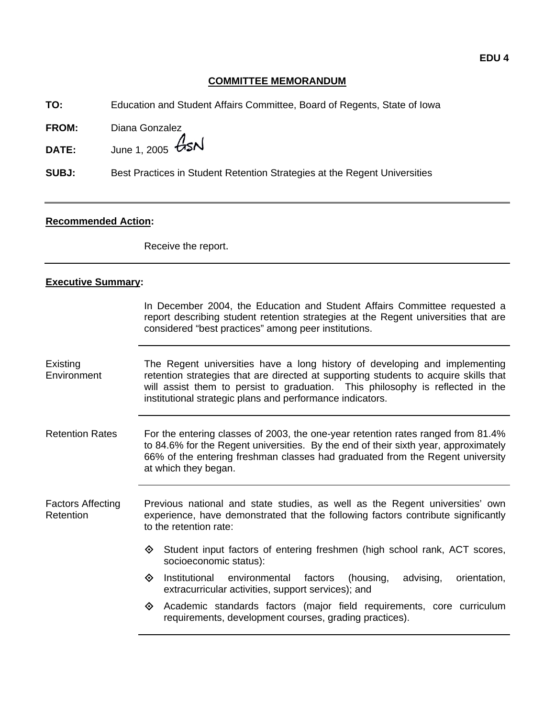### **COMMITTEE MEMORANDUM**

**TO:** Education and Student Affairs Committee, Board of Regents, State of Iowa

**FROM:** Diana Gonzalez

**DATE:** June 1, 2005  $\cancel{GSM}$ 

**SUBJ:** Best Practices in Student Retention Strategies at the Regent Universities

### **Recommended Action:**

Receive the report.

### **Executive Summary:**

In December 2004, the Education and Student Affairs Committee requested a report describing student retention strategies at the Regent universities that are considered "best practices" among peer institutions.

Existing **Environment** The Regent universities have a long history of developing and implementing retention strategies that are directed at supporting students to acquire skills that will assist them to persist to graduation. This philosophy is reflected in the institutional strategic plans and performance indicators.

Retention Rates For the entering classes of 2003, the one-year retention rates ranged from 81.4% to 84.6% for the Regent universities. By the end of their sixth year, approximately 66% of the entering freshman classes had graduated from the Regent university at which they began.

Factors Affecting Retention Previous national and state studies, as well as the Regent universities' own experience, have demonstrated that the following factors contribute significantly to the retention rate:

- $\diamondsuit$  Student input factors of entering freshmen (high school rank, ACT scores, socioeconomic status):
- $\diamond$  Institutional environmental factors (housing, advising, orientation, extracurricular activities, support services); and
- $\diamond$  Academic standards factors (major field requirements, core curriculum requirements, development courses, grading practices).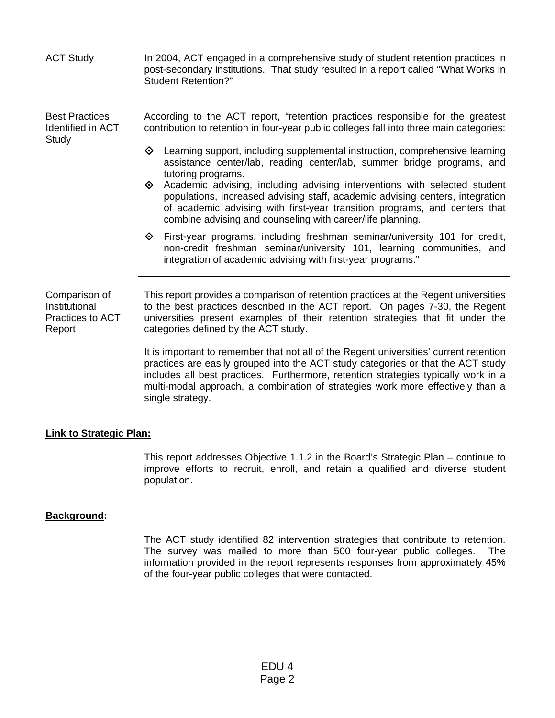| <b>ACT Study</b>                                             | In 2004, ACT engaged in a comprehensive study of student retention practices in<br>post-secondary institutions. That study resulted in a report called "What Works in<br><b>Student Retention?"</b>                                                                                                                                                                    |
|--------------------------------------------------------------|------------------------------------------------------------------------------------------------------------------------------------------------------------------------------------------------------------------------------------------------------------------------------------------------------------------------------------------------------------------------|
| <b>Best Practices</b><br>Identified in ACT<br>Study          | According to the ACT report, "retention practices responsible for the greatest<br>contribution to retention in four-year public colleges fall into three main categories:                                                                                                                                                                                              |
|                                                              | Learning support, including supplemental instruction, comprehensive learning<br>◈<br>assistance center/lab, reading center/lab, summer bridge programs, and<br>tutoring programs.                                                                                                                                                                                      |
|                                                              | Academic advising, including advising interventions with selected student<br>◈<br>populations, increased advising staff, academic advising centers, integration<br>of academic advising with first-year transition programs, and centers that<br>combine advising and counseling with career/life planning.                                                            |
|                                                              | First-year programs, including freshman seminar/university 101 for credit,<br>◈<br>non-credit freshman seminar/university 101, learning communities, and<br>integration of academic advising with first-year programs."                                                                                                                                                |
| Comparison of<br>Institutional<br>Practices to ACT<br>Report | This report provides a comparison of retention practices at the Regent universities<br>to the best practices described in the ACT report. On pages 7-30, the Regent<br>universities present examples of their retention strategies that fit under the<br>categories defined by the ACT study.                                                                          |
|                                                              | It is important to remember that not all of the Regent universities' current retention<br>practices are easily grouped into the ACT study categories or that the ACT study<br>includes all best practices. Furthermore, retention strategies typically work in a<br>multi-modal approach, a combination of strategies work more effectively than a<br>single strategy. |

### **Link to Strategic Plan:**

This report addresses Objective 1.1.2 in the Board's Strategic Plan – continue to improve efforts to recruit, enroll, and retain a qualified and diverse student population.

# **Background:**

The ACT study identified 82 intervention strategies that contribute to retention. The survey was mailed to more than 500 four-year public colleges. The information provided in the report represents responses from approximately 45% of the four-year public colleges that were contacted.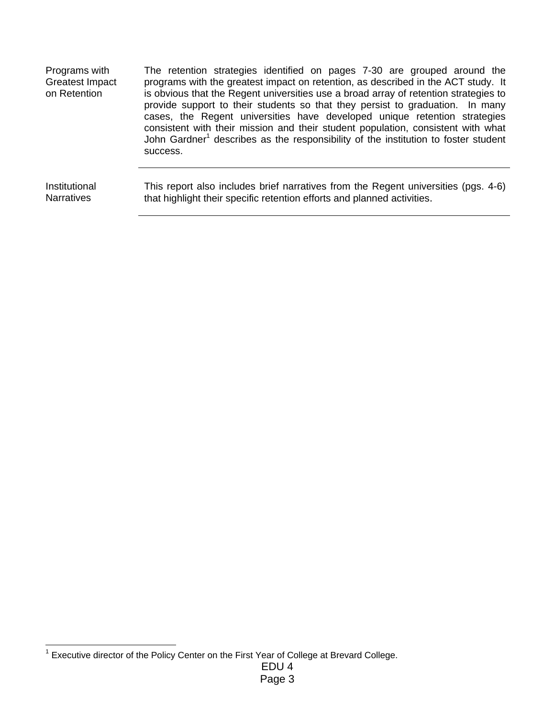| Programs with<br><b>Greatest Impact</b><br>on Retention | The retention strategies identified on pages 7-30 are grouped around the<br>programs with the greatest impact on retention, as described in the ACT study. It<br>is obvious that the Regent universities use a broad array of retention strategies to<br>provide support to their students so that they persist to graduation. In many<br>cases, the Regent universities have developed unique retention strategies<br>consistent with their mission and their student population, consistent with what<br>John Gardner <sup>1</sup> describes as the responsibility of the institution to foster student<br>success. |
|---------------------------------------------------------|-----------------------------------------------------------------------------------------------------------------------------------------------------------------------------------------------------------------------------------------------------------------------------------------------------------------------------------------------------------------------------------------------------------------------------------------------------------------------------------------------------------------------------------------------------------------------------------------------------------------------|
| Institutional                                           | This report also includes brief narratives from the Regent universities (pgs. 4-6)                                                                                                                                                                                                                                                                                                                                                                                                                                                                                                                                    |
| <b>Narratives</b>                                       | that highlight their specific retention efforts and planned activities.                                                                                                                                                                                                                                                                                                                                                                                                                                                                                                                                               |

<sup>————————————————————&</sup>lt;br><sup>1</sup> Executive director of the Policy Center on the First Year of College at Brevard College.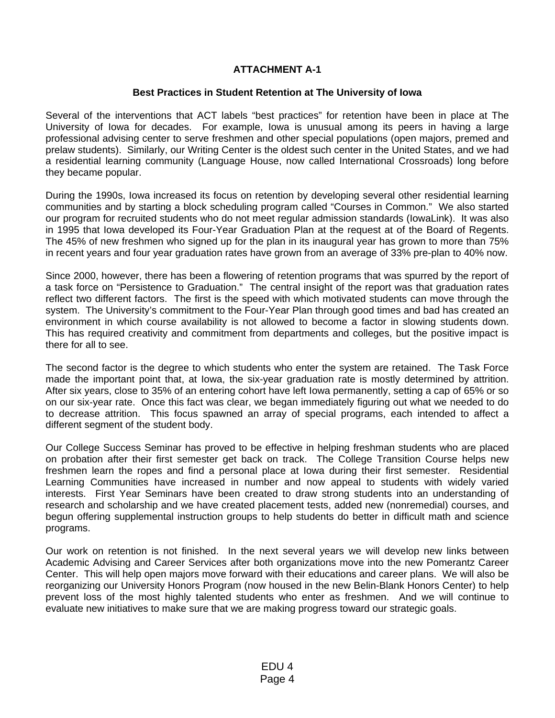## **ATTACHMENT A-1**

### **Best Practices in Student Retention at The University of Iowa**

Several of the interventions that ACT labels "best practices" for retention have been in place at The University of Iowa for decades. For example, Iowa is unusual among its peers in having a large professional advising center to serve freshmen and other special populations (open majors, premed and prelaw students). Similarly, our Writing Center is the oldest such center in the United States, and we had a residential learning community (Language House, now called International Crossroads) long before they became popular.

During the 1990s, Iowa increased its focus on retention by developing several other residential learning communities and by starting a block scheduling program called "Courses in Common." We also started our program for recruited students who do not meet regular admission standards (IowaLink). It was also in 1995 that Iowa developed its Four-Year Graduation Plan at the request at of the Board of Regents. The 45% of new freshmen who signed up for the plan in its inaugural year has grown to more than 75% in recent years and four year graduation rates have grown from an average of 33% pre-plan to 40% now.

Since 2000, however, there has been a flowering of retention programs that was spurred by the report of a task force on "Persistence to Graduation." The central insight of the report was that graduation rates reflect two different factors. The first is the speed with which motivated students can move through the system. The University's commitment to the Four-Year Plan through good times and bad has created an environment in which course availability is not allowed to become a factor in slowing students down. This has required creativity and commitment from departments and colleges, but the positive impact is there for all to see.

The second factor is the degree to which students who enter the system are retained. The Task Force made the important point that, at Iowa, the six-year graduation rate is mostly determined by attrition. After six years, close to 35% of an entering cohort have left Iowa permanently, setting a cap of 65% or so on our six-year rate. Once this fact was clear, we began immediately figuring out what we needed to do to decrease attrition. This focus spawned an array of special programs, each intended to affect a different segment of the student body.

Our College Success Seminar has proved to be effective in helping freshman students who are placed on probation after their first semester get back on track. The College Transition Course helps new freshmen learn the ropes and find a personal place at Iowa during their first semester. Residential Learning Communities have increased in number and now appeal to students with widely varied interests. First Year Seminars have been created to draw strong students into an understanding of research and scholarship and we have created placement tests, added new (nonremedial) courses, and begun offering supplemental instruction groups to help students do better in difficult math and science programs.

Our work on retention is not finished. In the next several years we will develop new links between Academic Advising and Career Services after both organizations move into the new Pomerantz Career Center. This will help open majors move forward with their educations and career plans. We will also be reorganizing our University Honors Program (now housed in the new Belin-Blank Honors Center) to help prevent loss of the most highly talented students who enter as freshmen. And we will continue to evaluate new initiatives to make sure that we are making progress toward our strategic goals.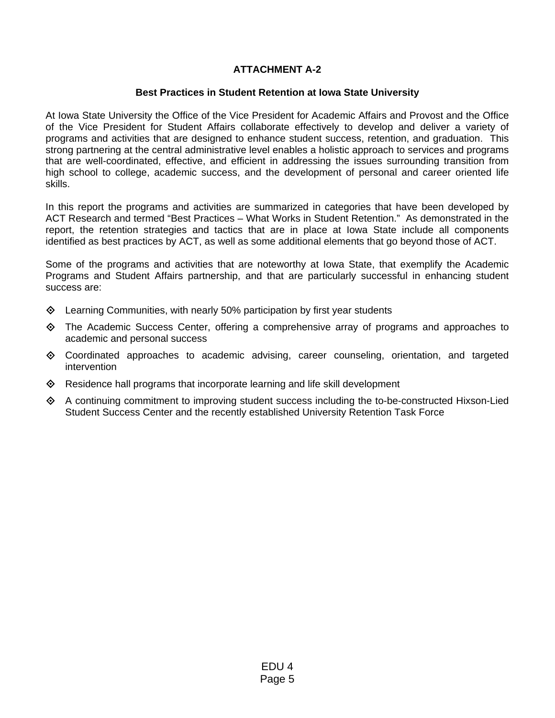# **ATTACHMENT A-2**

## **Best Practices in Student Retention at Iowa State University**

At Iowa State University the Office of the Vice President for Academic Affairs and Provost and the Office of the Vice President for Student Affairs collaborate effectively to develop and deliver a variety of programs and activities that are designed to enhance student success, retention, and graduation. This strong partnering at the central administrative level enables a holistic approach to services and programs that are well-coordinated, effective, and efficient in addressing the issues surrounding transition from high school to college, academic success, and the development of personal and career oriented life skills.

In this report the programs and activities are summarized in categories that have been developed by ACT Research and termed "Best Practices – What Works in Student Retention." As demonstrated in the report, the retention strategies and tactics that are in place at Iowa State include all components identified as best practices by ACT, as well as some additional elements that go beyond those of ACT.

Some of the programs and activities that are noteworthy at Iowa State, that exemplify the Academic Programs and Student Affairs partnership, and that are particularly successful in enhancing student success are:

- $\Diamond$  Learning Communities, with nearly 50% participation by first year students
- The Academic Success Center, offering a comprehensive array of programs and approaches to academic and personal success
- $\diamond$  Coordinated approaches to academic advising, career counseling, orientation, and targeted intervention
- ◆ Residence hall programs that incorporate learning and life skill development
- $\Diamond$  A continuing commitment to improving student success including the to-be-constructed Hixson-Lied Student Success Center and the recently established University Retention Task Force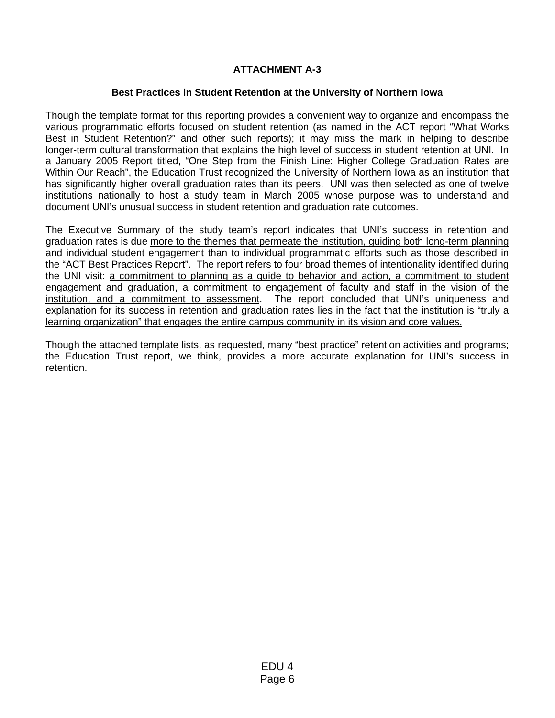# **ATTACHMENT A-3**

## **Best Practices in Student Retention at the University of Northern Iowa**

Though the template format for this reporting provides a convenient way to organize and encompass the various programmatic efforts focused on student retention (as named in the ACT report "What Works Best in Student Retention?" and other such reports); it may miss the mark in helping to describe longer-term cultural transformation that explains the high level of success in student retention at UNI. In a January 2005 Report titled, "One Step from the Finish Line: Higher College Graduation Rates are Within Our Reach", the Education Trust recognized the University of Northern Iowa as an institution that has significantly higher overall graduation rates than its peers. UNI was then selected as one of twelve institutions nationally to host a study team in March 2005 whose purpose was to understand and document UNI's unusual success in student retention and graduation rate outcomes.

The Executive Summary of the study team's report indicates that UNI's success in retention and graduation rates is due more to the themes that permeate the institution, guiding both long-term planning and individual student engagement than to individual programmatic efforts such as those described in the "ACT Best Practices Report". The report refers to four broad themes of intentionality identified during the UNI visit: a commitment to planning as a guide to behavior and action, a commitment to student engagement and graduation, a commitment to engagement of faculty and staff in the vision of the institution, and a commitment to assessment. The report concluded that UNI's uniqueness and explanation for its success in retention and graduation rates lies in the fact that the institution is "truly a learning organization" that engages the entire campus community in its vision and core values.

Though the attached template lists, as requested, many "best practice" retention activities and programs; the Education Trust report, we think, provides a more accurate explanation for UNI's success in retention.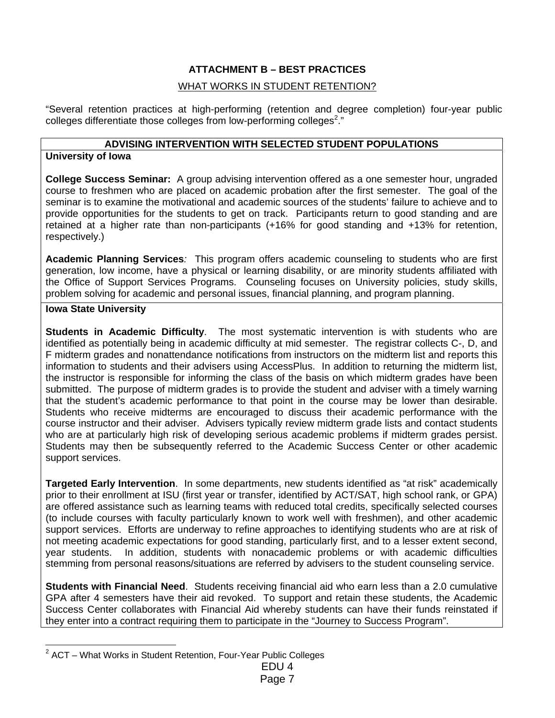# **ATTACHMENT B – BEST PRACTICES**

## WHAT WORKS IN STUDENT RETENTION?

"Several retention practices at high-performing (retention and degree completion) four-year public colleges differentiate those colleges from low-performing colleges<sup>2</sup>."

### **ADVISING INTERVENTION WITH SELECTED STUDENT POPULATIONS**

### **University of Iowa**

**College Success Seminar:** A group advising intervention offered as a one semester hour, ungraded course to freshmen who are placed on academic probation after the first semester. The goal of the seminar is to examine the motivational and academic sources of the students' failure to achieve and to provide opportunities for the students to get on track. Participants return to good standing and are retained at a higher rate than non-participants (+16% for good standing and +13% for retention, respectively.)

**Academic Planning Services***:* This program offers academic counseling to students who are first generation, low income, have a physical or learning disability, or are minority students affiliated with the Office of Support Services Programs. Counseling focuses on University policies, study skills, problem solving for academic and personal issues, financial planning, and program planning.

### **Iowa State University**

**Students in Academic Difficulty**. The most systematic intervention is with students who are identified as potentially being in academic difficulty at mid semester. The registrar collects C-, D, and F midterm grades and nonattendance notifications from instructors on the midterm list and reports this information to students and their advisers using AccessPlus. In addition to returning the midterm list, the instructor is responsible for informing the class of the basis on which midterm grades have been submitted. The purpose of midterm grades is to provide the student and adviser with a timely warning that the student's academic performance to that point in the course may be lower than desirable. Students who receive midterms are encouraged to discuss their academic performance with the course instructor and their adviser. Advisers typically review midterm grade lists and contact students who are at particularly high risk of developing serious academic problems if midterm grades persist. Students may then be subsequently referred to the Academic Success Center or other academic support services.

**Targeted Early Intervention**. In some departments, new students identified as "at risk" academically prior to their enrollment at ISU (first year or transfer, identified by ACT/SAT, high school rank, or GPA) are offered assistance such as learning teams with reduced total credits, specifically selected courses (to include courses with faculty particularly known to work well with freshmen), and other academic support services. Efforts are underway to refine approaches to identifying students who are at risk of not meeting academic expectations for good standing, particularly first, and to a lesser extent second, year students. In addition, students with nonacademic problems or with academic difficulties stemming from personal reasons/situations are referred by advisers to the student counseling service.

**Students with Financial Need**. Students receiving financial aid who earn less than a 2.0 cumulative GPA after 4 semesters have their aid revoked. To support and retain these students, the Academic Success Center collaborates with Financial Aid whereby students can have their funds reinstated if they enter into a contract requiring them to participate in the "Journey to Success Program".

EDU 4

l  $2$  ACT – What Works in Student Retention, Four-Year Public Colleges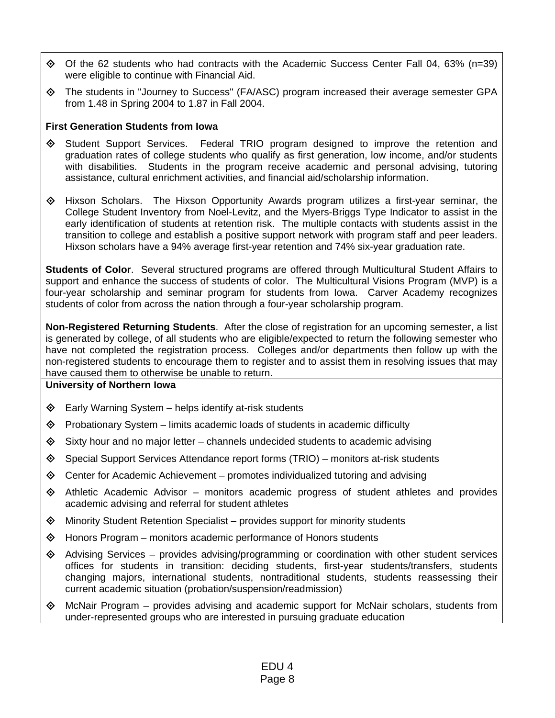- $\Diamond$  Of the 62 students who had contracts with the Academic Success Center Fall 04, 63% (n=39) were eligible to continue with Financial Aid.
- The students in "Journey to Success" (FA/ASC) program increased their average semester GPA from 1.48 in Spring 2004 to 1.87 in Fall 2004.

## **First Generation Students from Iowa**

- Student Support Services. Federal TRIO program designed to improve the retention and graduation rates of college students who qualify as first generation, low income, and/or students with disabilities. Students in the program receive academic and personal advising, tutoring assistance, cultural enrichment activities, and financial aid/scholarship information.
- Hixson Scholars. The Hixson Opportunity Awards program utilizes a first-year seminar, the College Student Inventory from Noel-Levitz, and the Myers-Briggs Type Indicator to assist in the early identification of students at retention risk. The multiple contacts with students assist in the transition to college and establish a positive support network with program staff and peer leaders. Hixson scholars have a 94% average first-year retention and 74% six-year graduation rate.

**Students of Color**. Several structured programs are offered through Multicultural Student Affairs to support and enhance the success of students of color. The Multicultural Visions Program (MVP) is a four-year scholarship and seminar program for students from Iowa. Carver Academy recognizes students of color from across the nation through a four-year scholarship program.

**Non-Registered Returning Students**. After the close of registration for an upcoming semester, a list is generated by college, of all students who are eligible/expected to return the following semester who have not completed the registration process. Colleges and/or departments then follow up with the non-registered students to encourage them to register and to assist them in resolving issues that may have caused them to otherwise be unable to return.

- $\diamond$  Early Warning System helps identify at-risk students
- $\diamond$  Probationary System limits academic loads of students in academic difficulty
- $\diamondsuit$  Sixty hour and no major letter channels undecided students to academic advising
- $\diamond$  Special Support Services Attendance report forms (TRIO) monitors at-risk students
- $\diamondsuit$  Center for Academic Achievement promotes individualized tutoring and advising
- $\Diamond$  Athletic Academic Advisor monitors academic progress of student athletes and provides academic advising and referral for student athletes
- $\Diamond$  Minority Student Retention Specialist provides support for minority students
- $\Diamond$  Honors Program monitors academic performance of Honors students
- $\Diamond$  Advising Services provides advising/programming or coordination with other student services offices for students in transition: deciding students, first-year students/transfers, students changing majors, international students, nontraditional students, students reassessing their current academic situation (probation/suspension/readmission)
- $\Diamond$  McNair Program provides advising and academic support for McNair scholars, students from under-represented groups who are interested in pursuing graduate education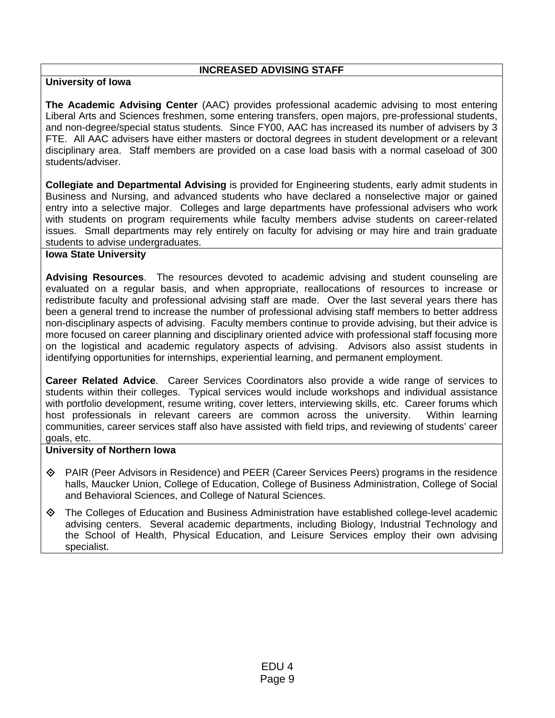### **INCREASED ADVISING STAFF**

## **University of Iowa**

**The Academic Advising Center** (AAC) provides professional academic advising to most entering Liberal Arts and Sciences freshmen, some entering transfers, open majors, pre-professional students, and non-degree/special status students. Since FY00, AAC has increased its number of advisers by 3 FTE. All AAC advisers have either masters or doctoral degrees in student development or a relevant disciplinary area. Staff members are provided on a case load basis with a normal caseload of 300 students/adviser.

**Collegiate and Departmental Advising** is provided for Engineering students, early admit students in Business and Nursing, and advanced students who have declared a nonselective major or gained entry into a selective major. Colleges and large departments have professional advisers who work with students on program requirements while faculty members advise students on career-related issues. Small departments may rely entirely on faculty for advising or may hire and train graduate students to advise undergraduates.

### **Iowa State University**

**Advising Resources**. The resources devoted to academic advising and student counseling are evaluated on a regular basis, and when appropriate, reallocations of resources to increase or redistribute faculty and professional advising staff are made. Over the last several years there has been a general trend to increase the number of professional advising staff members to better address non-disciplinary aspects of advising. Faculty members continue to provide advising, but their advice is more focused on career planning and disciplinary oriented advice with professional staff focusing more on the logistical and academic regulatory aspects of advising. Advisors also assist students in identifying opportunities for internships, experiential learning, and permanent employment.

**Career Related Advice**. Career Services Coordinators also provide a wide range of services to students within their colleges. Typical services would include workshops and individual assistance with portfolio development, resume writing, cover letters, interviewing skills, etc. Career forums which host professionals in relevant careers are common across the university. Within learning communities, career services staff also have assisted with field trips, and reviewing of students' career goals, etc.

- PAIR (Peer Advisors in Residence) and PEER (Career Services Peers) programs in the residence halls, Maucker Union, College of Education, College of Business Administration, College of Social and Behavioral Sciences, and College of Natural Sciences.
- The Colleges of Education and Business Administration have established college-level academic advising centers. Several academic departments, including Biology, Industrial Technology and the School of Health, Physical Education, and Leisure Services employ their own advising specialist.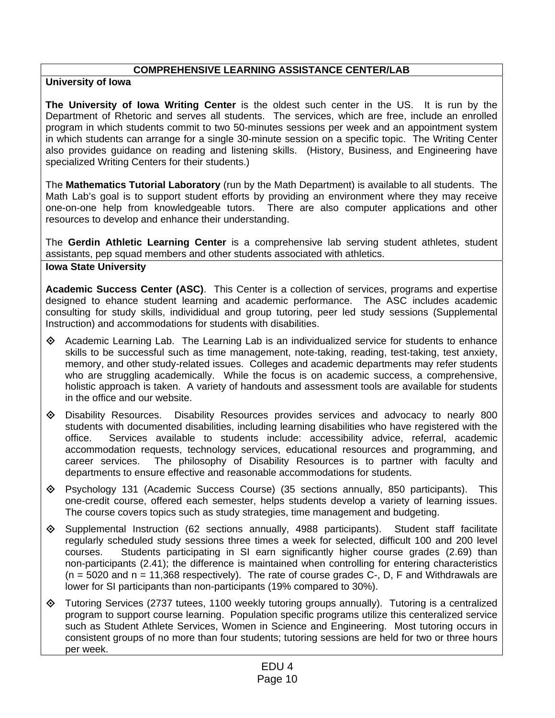# **COMPREHENSIVE LEARNING ASSISTANCE CENTER/LAB**

## **University of Iowa**

**The University of Iowa Writing Center** is the oldest such center in the US. It is run by the Department of Rhetoric and serves all students. The services, which are free, include an enrolled program in which students commit to two 50-minutes sessions per week and an appointment system in which students can arrange for a single 30-minute session on a specific topic. The Writing Center also provides guidance on reading and listening skills. (History, Business, and Engineering have specialized Writing Centers for their students.)

The **Mathematics Tutorial Laboratory** (run by the Math Department) is available to all students. The Math Lab's goal is to support student efforts by providing an environment where they may receive one-on-one help from knowledgeable tutors. There are also computer applications and other resources to develop and enhance their understanding.

The **Gerdin Athletic Learning Center** is a comprehensive lab serving student athletes, student assistants, pep squad members and other students associated with athletics.

### **Iowa State University**

**Academic Success Center (ASC)**. This Center is a collection of services, programs and expertise designed to ehance student learning and academic performance. The ASC includes academic consulting for study skills, individidual and group tutoring, peer led study sessions (Supplemental Instruction) and accommodations for students with disabilities.

- $\Diamond$  Academic Learning Lab. The Learning Lab is an individualized service for students to enhance skills to be successful such as time management, note-taking, reading, test-taking, test anxiety, memory, and other study-related issues. Colleges and academic departments may refer students who are struggling academically. While the focus is on academic success, a comprehensive, holistic approach is taken. A variety of handouts and assessment tools are available for students in the office and our website.
- Disability Resources. Disability Resources provides services and advocacy to nearly 800 students with documented disabilities, including learning disabilities who have registered with the office. Services available to students include: accessibility advice, referral, academic accommodation requests, technology services, educational resources and programming, and career services. The philosophy of Disability Resources is to partner with faculty and departments to ensure effective and reasonable accommodations for students.
- Psychology 131 (Academic Success Course) (35 sections annually, 850 participants). This one-credit course, offered each semester, helps students develop a variety of learning issues. The course covers topics such as study strategies, time management and budgeting.
- $\Diamond$  Supplemental Instruction (62 sections annually, 4988 participants). Student staff facilitate regularly scheduled study sessions three times a week for selected, difficult 100 and 200 level courses. Students participating in SI earn significantly higher course grades (2.69) than non-participants (2.41); the difference is maintained when controlling for entering characteristics  $(n = 5020$  and  $n = 11,368$  respectively). The rate of course grades C-, D, F and Withdrawals are lower for SI participants than non-participants (19% compared to 30%).
- Tutoring Services (2737 tutees, 1100 weekly tutoring groups annually). Tutoring is a centralized program to support course learning. Population specific programs utilize this centeralized service such as Student Athlete Services, Women in Science and Engineering. Most tutoring occurs in consistent groups of no more than four students; tutoring sessions are held for two or three hours per week.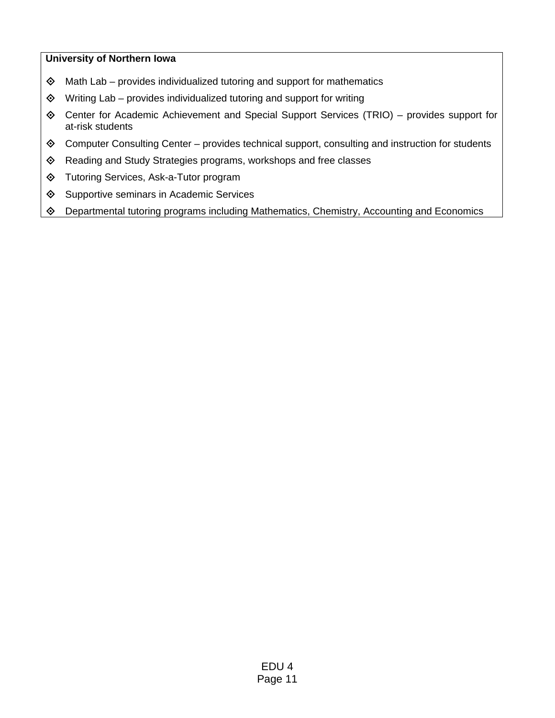- $\diamond$  Math Lab provides individualized tutoring and support for mathematics
- $\diamond$  Writing Lab provides individualized tutoring and support for writing
- Center for Academic Achievement and Special Support Services (TRIO) provides support for at-risk students
- Computer Consulting Center provides technical support, consulting and instruction for students
- Reading and Study Strategies programs, workshops and free classes
- Tutoring Services, Ask-a-Tutor program
- ♦ Supportive seminars in Academic Services
- Departmental tutoring programs including Mathematics, Chemistry, Accounting and Economics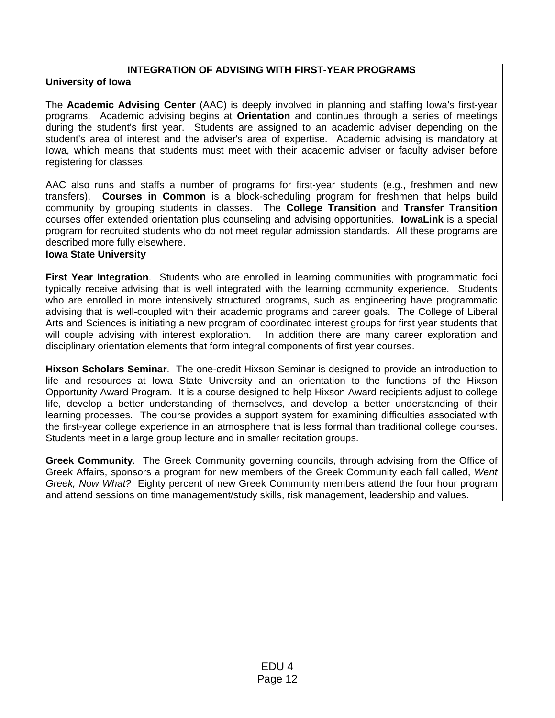## **INTEGRATION OF ADVISING WITH FIRST-YEAR PROGRAMS**

### **University of Iowa**

The **Academic Advising Center** (AAC) is deeply involved in planning and staffing Iowa's first-year programs. Academic advising begins at **Orientation** and continues through a series of meetings during the student's first year. Students are assigned to an academic adviser depending on the student's area of interest and the adviser's area of expertise. Academic advising is mandatory at Iowa, which means that students must meet with their academic adviser or faculty adviser before registering for classes.

AAC also runs and staffs a number of programs for first-year students (e.g., freshmen and new transfers). **Courses in Common** is a block-scheduling program for freshmen that helps build community by grouping students in classes. The **College Transition** and **Transfer Transition** courses offer extended orientation plus counseling and advising opportunities. **IowaLink** is a special program for recruited students who do not meet regular admission standards. All these programs are described more fully elsewhere.

### **Iowa State University**

**First Year Integration**. Students who are enrolled in learning communities with programmatic foci typically receive advising that is well integrated with the learning community experience. Students who are enrolled in more intensively structured programs, such as engineering have programmatic advising that is well-coupled with their academic programs and career goals. The College of Liberal Arts and Sciences is initiating a new program of coordinated interest groups for first year students that will couple advising with interest exploration. In addition there are many career exploration and disciplinary orientation elements that form integral components of first year courses.

**Hixson Scholars Seminar**. The one-credit Hixson Seminar is designed to provide an introduction to life and resources at Iowa State University and an orientation to the functions of the Hixson Opportunity Award Program. It is a course designed to help Hixson Award recipients adjust to college life, develop a better understanding of themselves, and develop a better understanding of their learning processes. The course provides a support system for examining difficulties associated with the first-year college experience in an atmosphere that is less formal than traditional college courses. Students meet in a large group lecture and in smaller recitation groups.

**Greek Community**. The Greek Community governing councils, through advising from the Office of Greek Affairs, sponsors a program for new members of the Greek Community each fall called, *Went Greek, Now What?* Eighty percent of new Greek Community members attend the four hour program and attend sessions on time management/study skills, risk management, leadership and values.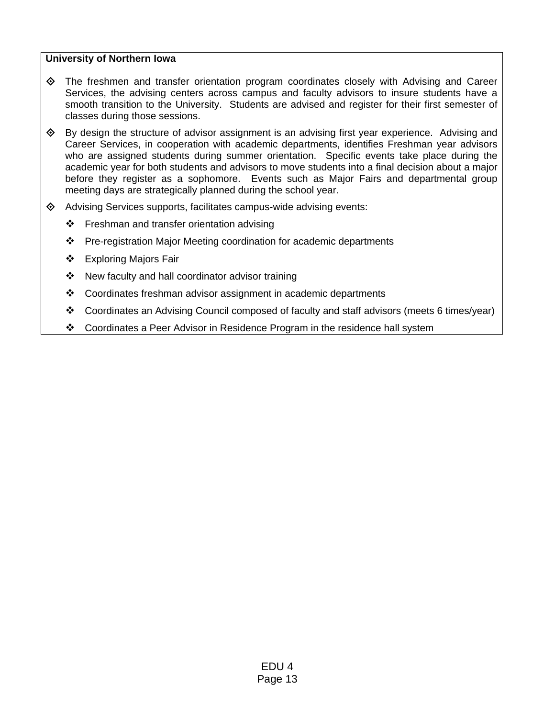- $\Diamond$  The freshmen and transfer orientation program coordinates closely with Advising and Career Services, the advising centers across campus and faculty advisors to insure students have a smooth transition to the University. Students are advised and register for their first semester of classes during those sessions.
- $\diamond$  By design the structure of advisor assignment is an advising first year experience. Advising and Career Services, in cooperation with academic departments, identifies Freshman year advisors who are assigned students during summer orientation. Specific events take place during the academic year for both students and advisors to move students into a final decision about a major before they register as a sophomore. Events such as Major Fairs and departmental group meeting days are strategically planned during the school year.
- Advising Services supports, facilitates campus-wide advising events:
	- $\div$  Freshman and transfer orientation advising
	- Pre-registration Major Meeting coordination for academic departments
	- ❖ Exploring Majors Fair
	- $\div$  New faculty and hall coordinator advisor training
	- Coordinates freshman advisor assignment in academic departments
	- Coordinates an Advising Council composed of faculty and staff advisors (meets 6 times/year)
	- Coordinates a Peer Advisor in Residence Program in the residence hall system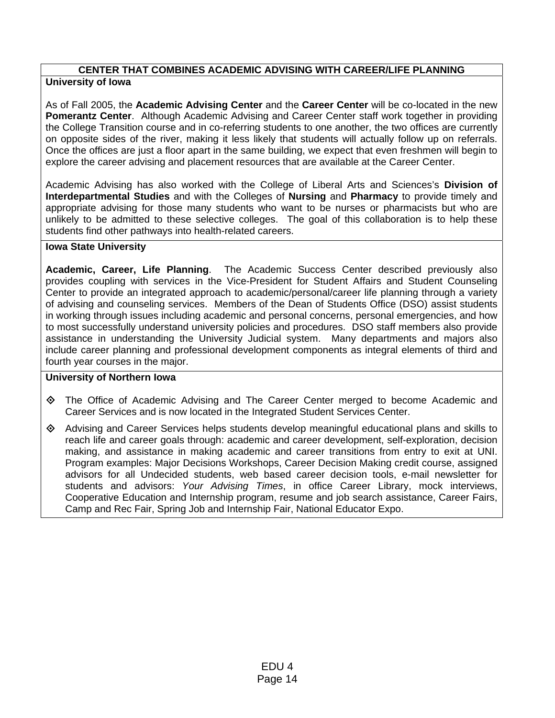## **CENTER THAT COMBINES ACADEMIC ADVISING WITH CAREER/LIFE PLANNING University of Iowa**

As of Fall 2005, the **Academic Advising Center** and the **Career Center** will be co-located in the new **Pomerantz Center**. Although Academic Advising and Career Center staff work together in providing the College Transition course and in co-referring students to one another, the two offices are currently on opposite sides of the river, making it less likely that students will actually follow up on referrals. Once the offices are just a floor apart in the same building, we expect that even freshmen will begin to explore the career advising and placement resources that are available at the Career Center.

Academic Advising has also worked with the College of Liberal Arts and Sciences's **Division of Interdepartmental Studies** and with the Colleges of **Nursing** and **Pharmacy** to provide timely and appropriate advising for those many students who want to be nurses or pharmacists but who are unlikely to be admitted to these selective colleges. The goal of this collaboration is to help these students find other pathways into health-related careers.

## **Iowa State University**

**Academic, Career, Life Planning**. The Academic Success Center described previously also provides coupling with services in the Vice-President for Student Affairs and Student Counseling Center to provide an integrated approach to academic/personal/career life planning through a variety of advising and counseling services. Members of the Dean of Students Office (DSO) assist students in working through issues including academic and personal concerns, personal emergencies, and how to most successfully understand university policies and procedures. DSO staff members also provide assistance in understanding the University Judicial system. Many departments and majors also include career planning and professional development components as integral elements of third and fourth year courses in the major.

- The Office of Academic Advising and The Career Center merged to become Academic and Career Services and is now located in the Integrated Student Services Center.
- $\Diamond$  Advising and Career Services helps students develop meaningful educational plans and skills to reach life and career goals through: academic and career development, self-exploration, decision making, and assistance in making academic and career transitions from entry to exit at UNI. Program examples: Major Decisions Workshops, Career Decision Making credit course, assigned advisors for all Undecided students, web based career decision tools, e-mail newsletter for students and advisors: *Your Advising Times*, in office Career Library, mock interviews, Cooperative Education and Internship program, resume and job search assistance, Career Fairs, Camp and Rec Fair, Spring Job and Internship Fair, National Educator Expo.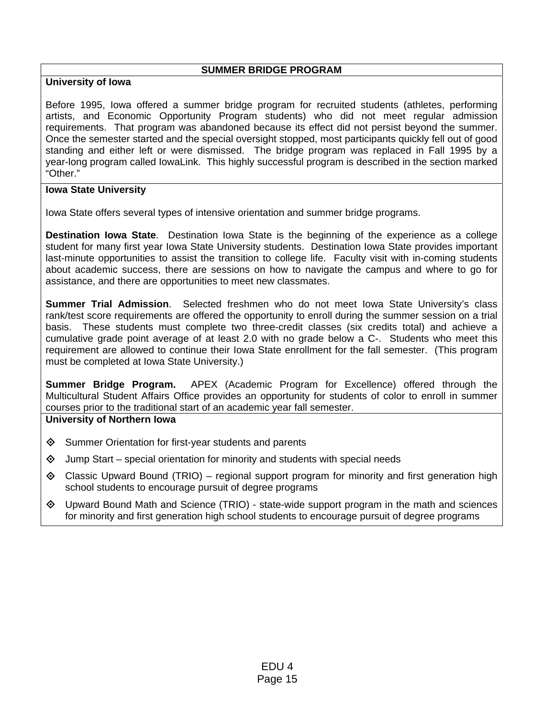### **SUMMER BRIDGE PROGRAM**

# **University of Iowa**

Before 1995, Iowa offered a summer bridge program for recruited students (athletes, performing artists, and Economic Opportunity Program students) who did not meet regular admission requirements. That program was abandoned because its effect did not persist beyond the summer. Once the semester started and the special oversight stopped, most participants quickly fell out of good standing and either left or were dismissed. The bridge program was replaced in Fall 1995 by a year-long program called IowaLink. This highly successful program is described in the section marked "Other."

# **Iowa State University**

Iowa State offers several types of intensive orientation and summer bridge programs.

**Destination Iowa State**. Destination Iowa State is the beginning of the experience as a college student for many first year Iowa State University students. Destination Iowa State provides important last-minute opportunities to assist the transition to college life. Faculty visit with in-coming students about academic success, there are sessions on how to navigate the campus and where to go for assistance, and there are opportunities to meet new classmates.

**Summer Trial Admission**. Selected freshmen who do not meet Iowa State University's class rank/test score requirements are offered the opportunity to enroll during the summer session on a trial basis. These students must complete two three-credit classes (six credits total) and achieve a cumulative grade point average of at least 2.0 with no grade below a C-. Students who meet this requirement are allowed to continue their Iowa State enrollment for the fall semester. (This program must be completed at Iowa State University.)

**Summer Bridge Program.** APEX (Academic Program for Excellence) offered through the Multicultural Student Affairs Office provides an opportunity for students of color to enroll in summer courses prior to the traditional start of an academic year fall semester.

- $\diamond$  Summer Orientation for first-year students and parents
- $\Diamond$  Jump Start special orientation for minority and students with special needs
- $\Diamond$  Classic Upward Bound (TRIO) regional support program for minority and first generation high school students to encourage pursuit of degree programs
- $\Diamond$  Upward Bound Math and Science (TRIO) state-wide support program in the math and sciences for minority and first generation high school students to encourage pursuit of degree programs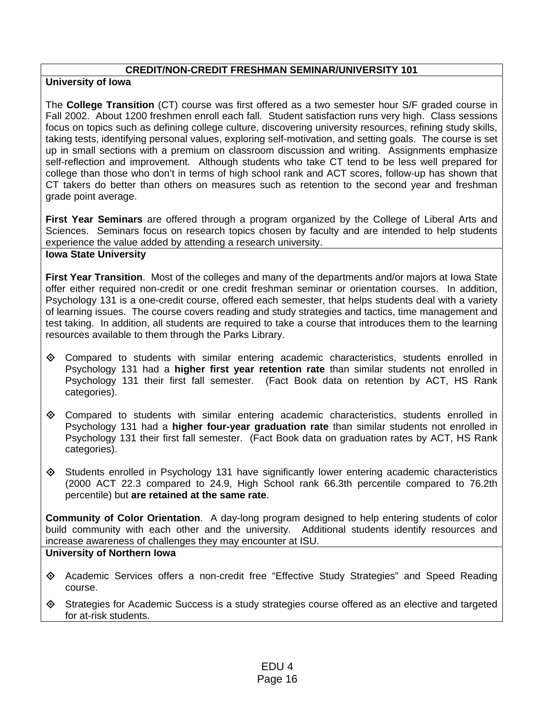### **CREDIT/NON-CREDIT FRESHMAN SEMINAR/UNIVERSITY 101**

### **University of Iowa**

The **College Transition** (CT) course was first offered as a two semester hour S/F graded course in Fall 2002. About 1200 freshmen enroll each fall. Student satisfaction runs very high. Class sessions focus on topics such as defining college culture, discovering university resources, refining study skills, taking tests, identifying personal values, exploring self-motivation, and setting goals. The course is set up in small sections with a premium on classroom discussion and writing. Assignments emphasize self-reflection and improvement. Although students who take CT tend to be less well prepared for college than those who don't in terms of high school rank and ACT scores, follow-up has shown that CT takers do better than others on measures such as retention to the second year and freshman grade point average.

**First Year Seminars** are offered through a program organized by the College of Liberal Arts and Sciences. Seminars focus on research topics chosen by faculty and are intended to help students experience the value added by attending a research university.

#### **Iowa State University**

**First Year Transition**. Most of the colleges and many of the departments and/or majors at Iowa State offer either required non-credit or one credit freshman seminar or orientation courses. In addition, Psychology 131 is a one-credit course, offered each semester, that helps students deal with a variety of learning issues. The course covers reading and study strategies and tactics, time management and test taking. In addition, all students are required to take a course that introduces them to the learning resources available to them through the Parks Library.

- $\diamond$  Compared to students with similar entering academic characteristics, students enrolled in Psychology 131 had a **higher first year retention rate** than similar students not enrolled in Psychology 131 their first fall semester. (Fact Book data on retention by ACT, HS Rank categories).
- $\diamond$  Compared to students with similar entering academic characteristics, students enrolled in Psychology 131 had a **higher four-year graduation rate** than similar students not enrolled in Psychology 131 their first fall semester. (Fact Book data on graduation rates by ACT, HS Rank categories).
- $\Diamond$  Students enrolled in Psychology 131 have significantly lower entering academic characteristics (2000 ACT 22.3 compared to 24.9, High School rank 66.3th percentile compared to 76.2th percentile) but **are retained at the same rate**.

**Community of Color Orientation**. A day-long program designed to help entering students of color build community with each other and the university. Additional students identify resources and increase awareness of challenges they may encounter at ISU.

- Academic Services offers a non-credit free "Effective Study Strategies" and Speed Reading course.
- $\Diamond$  Strategies for Academic Success is a study strategies course offered as an elective and targeted for at-risk students.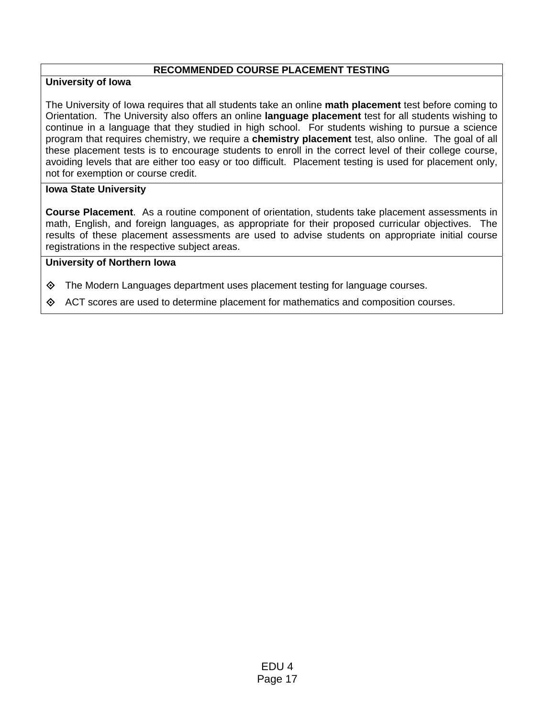## **RECOMMENDED COURSE PLACEMENT TESTING**

## **University of Iowa**

The University of Iowa requires that all students take an online **math placement** test before coming to Orientation. The University also offers an online **language placement** test for all students wishing to continue in a language that they studied in high school. For students wishing to pursue a science program that requires chemistry, we require a **chemistry placement** test, also online. The goal of all these placement tests is to encourage students to enroll in the correct level of their college course, avoiding levels that are either too easy or too difficult. Placement testing is used for placement only, not for exemption or course credit.

## **Iowa State University**

**Course Placement**. As a routine component of orientation, students take placement assessments in math, English, and foreign languages, as appropriate for their proposed curricular objectives. The results of these placement assessments are used to advise students on appropriate initial course registrations in the respective subject areas.

- $\Diamond$  The Modern Languages department uses placement testing for language courses.
- $\Diamond$  ACT scores are used to determine placement for mathematics and composition courses.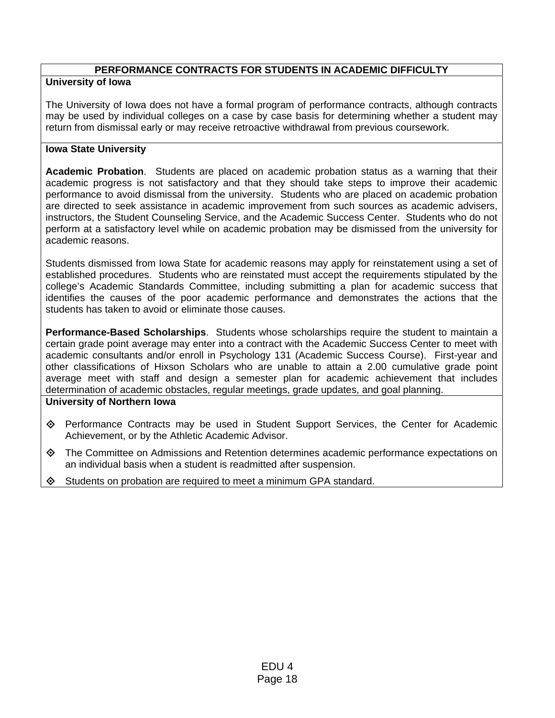# **PERFORMANCE CONTRACTS FOR STUDENTS IN ACADEMIC DIFFICULTY**

# **University of Iowa**

The University of Iowa does not have a formal program of performance contracts, although contracts may be used by individual colleges on a case by case basis for determining whether a student may return from dismissal early or may receive retroactive withdrawal from previous coursework.

## **Iowa State University**

**Academic Probation**. Students are placed on academic probation status as a warning that their academic progress is not satisfactory and that they should take steps to improve their academic performance to avoid dismissal from the university. Students who are placed on academic probation are directed to seek assistance in academic improvement from such sources as academic advisers, instructors, the Student Counseling Service, and the Academic Success Center. Students who do not perform at a satisfactory level while on academic probation may be dismissed from the university for academic reasons.

Students dismissed from Iowa State for academic reasons may apply for reinstatement using a set of established procedures. Students who are reinstated must accept the requirements stipulated by the college's Academic Standards Committee, including submitting a plan for academic success that identifies the causes of the poor academic performance and demonstrates the actions that the students has taken to avoid or eliminate those causes.

**Performance-Based Scholarships**. Students whose scholarships require the student to maintain a certain grade point average may enter into a contract with the Academic Success Center to meet with academic consultants and/or enroll in Psychology 131 (Academic Success Course). First-year and other classifications of Hixson Scholars who are unable to attain a 2.00 cumulative grade point average meet with staff and design a semester plan for academic achievement that includes determination of academic obstacles, regular meetings, grade updates, and goal planning.

- Performance Contracts may be used in Student Support Services, the Center for Academic Achievement, or by the Athletic Academic Advisor.
- The Committee on Admissions and Retention determines academic performance expectations on an individual basis when a student is readmitted after suspension.
- Students on probation are required to meet a minimum GPA standard.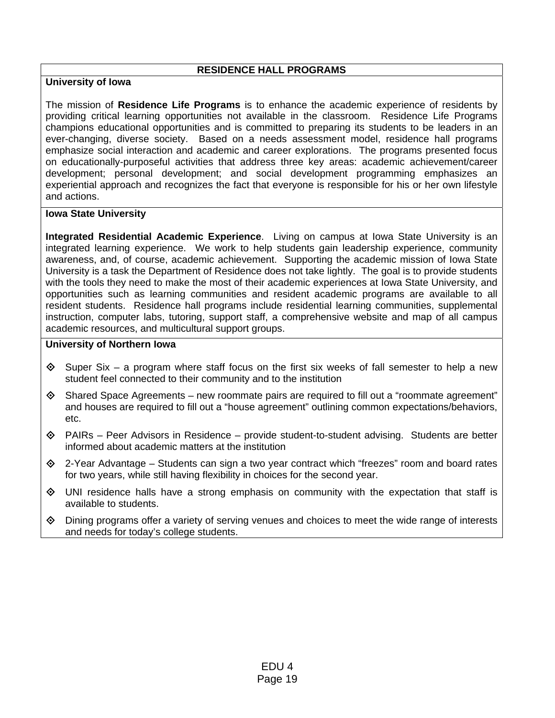### **RESIDENCE HALL PROGRAMS**

## **University of Iowa**

The mission of **Residence Life Programs** is to enhance the academic experience of residents by providing critical learning opportunities not available in the classroom. Residence Life Programs champions educational opportunities and is committed to preparing its students to be leaders in an ever-changing, diverse society. Based on a needs assessment model, residence hall programs emphasize social interaction and academic and career explorations. The programs presented focus on educationally-purposeful activities that address three key areas: academic achievement/career development; personal development; and social development programming emphasizes an experiential approach and recognizes the fact that everyone is responsible for his or her own lifestyle and actions.

### **Iowa State University**

**Integrated Residential Academic Experience**. Living on campus at Iowa State University is an integrated learning experience. We work to help students gain leadership experience, community awareness, and, of course, academic achievement. Supporting the academic mission of Iowa State University is a task the Department of Residence does not take lightly. The goal is to provide students with the tools they need to make the most of their academic experiences at Iowa State University, and opportunities such as learning communities and resident academic programs are available to all resident students. Residence hall programs include residential learning communities, supplemental instruction, computer labs, tutoring, support staff, a comprehensive website and map of all campus academic resources, and multicultural support groups.

- $\Diamond$  Super Six a program where staff focus on the first six weeks of fall semester to help a new student feel connected to their community and to the institution
- $\diamondsuit$  Shared Space Agreements new roommate pairs are required to fill out a "roommate agreement" and houses are required to fill out a "house agreement" outlining common expectations/behaviors, etc.
- $\Diamond$  PAIRs Peer Advisors in Residence provide student-to-student advising. Students are better informed about academic matters at the institution
- $\diamond$  2-Year Advantage Students can sign a two year contract which "freezes" room and board rates for two years, while still having flexibility in choices for the second year.
- $\Diamond$  UNI residence halls have a strong emphasis on community with the expectation that staff is available to students.
- $\Diamond$  Dining programs offer a variety of serving venues and choices to meet the wide range of interests and needs for today's college students.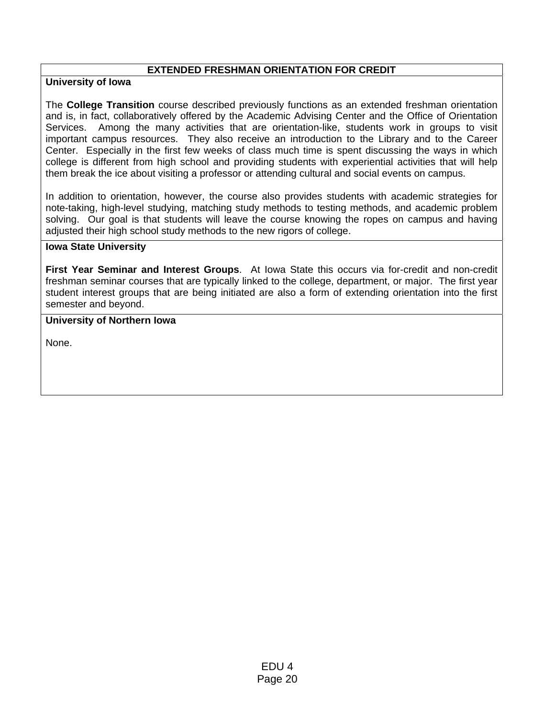### **EXTENDED FRESHMAN ORIENTATION FOR CREDIT**

### **University of Iowa**

The **College Transition** course described previously functions as an extended freshman orientation and is, in fact, collaboratively offered by the Academic Advising Center and the Office of Orientation Services. Among the many activities that are orientation-like, students work in groups to visit important campus resources. They also receive an introduction to the Library and to the Career Center. Especially in the first few weeks of class much time is spent discussing the ways in which college is different from high school and providing students with experiential activities that will help them break the ice about visiting a professor or attending cultural and social events on campus.

In addition to orientation, however, the course also provides students with academic strategies for note-taking, high-level studying, matching study methods to testing methods, and academic problem solving. Our goal is that students will leave the course knowing the ropes on campus and having adjusted their high school study methods to the new rigors of college.

### **Iowa State University**

**First Year Seminar and Interest Groups**. At Iowa State this occurs via for-credit and non-credit freshman seminar courses that are typically linked to the college, department, or major. The first year student interest groups that are being initiated are also a form of extending orientation into the first semester and beyond.

### **University of Northern Iowa**

None.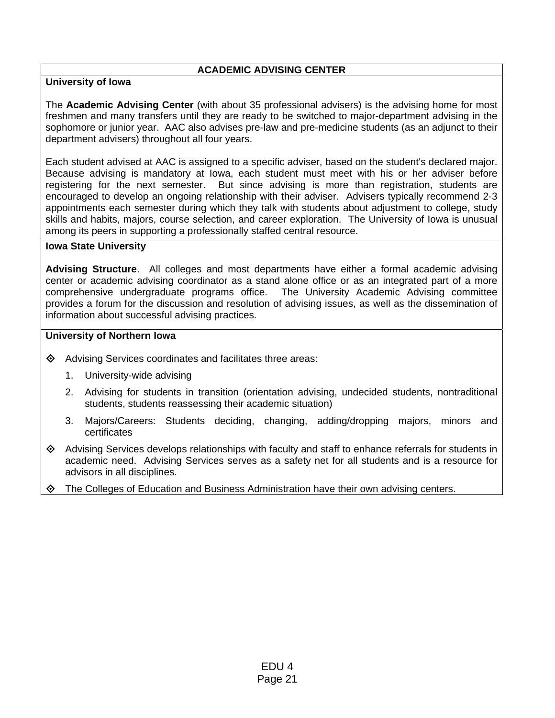## **ACADEMIC ADVISING CENTER**

## **University of Iowa**

The **Academic Advising Center** (with about 35 professional advisers) is the advising home for most freshmen and many transfers until they are ready to be switched to major-department advising in the sophomore or junior year. AAC also advises pre-law and pre-medicine students (as an adjunct to their department advisers) throughout all four years.

Each student advised at AAC is assigned to a specific adviser, based on the student's declared major. Because advising is mandatory at Iowa, each student must meet with his or her adviser before registering for the next semester. But since advising is more than registration, students are encouraged to develop an ongoing relationship with their adviser. Advisers typically recommend 2-3 appointments each semester during which they talk with students about adjustment to college, study skills and habits, majors, course selection, and career exploration. The University of Iowa is unusual among its peers in supporting a professionally staffed central resource.

### **Iowa State University**

**Advising Structure**. All colleges and most departments have either a formal academic advising center or academic advising coordinator as a stand alone office or as an integrated part of a more comprehensive undergraduate programs office. The University Academic Advising committee provides a forum for the discussion and resolution of advising issues, as well as the dissemination of information about successful advising practices.

- Advising Services coordinates and facilitates three areas:
	- 1. University-wide advising
	- 2. Advising for students in transition (orientation advising, undecided students, nontraditional students, students reassessing their academic situation)
	- 3. Majors/Careers: Students deciding, changing, adding/dropping majors, minors and certificates
- $\Diamond$  Advising Services develops relationships with faculty and staff to enhance referrals for students in academic need. Advising Services serves as a safety net for all students and is a resource for advisors in all disciplines.
- ◆ The Colleges of Education and Business Administration have their own advising centers.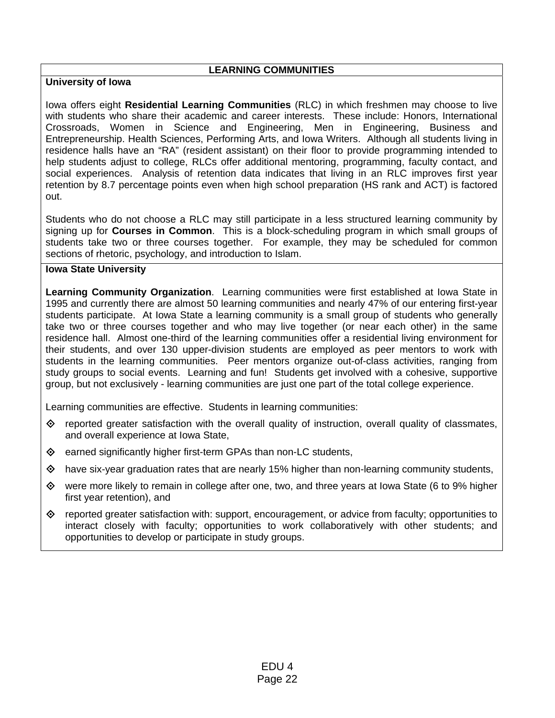### **LEARNING COMMUNITIES**

## **University of Iowa**

Iowa offers eight **Residential Learning Communities** (RLC) in which freshmen may choose to live with students who share their academic and career interests. These include: Honors, International Crossroads, Women in Science and Engineering, Men in Engineering, Business and Entrepreneurship. Health Sciences, Performing Arts, and Iowa Writers. Although all students living in residence halls have an "RA" (resident assistant) on their floor to provide programming intended to help students adjust to college, RLCs offer additional mentoring, programming, faculty contact, and social experiences. Analysis of retention data indicates that living in an RLC improves first year retention by 8.7 percentage points even when high school preparation (HS rank and ACT) is factored out.

Students who do not choose a RLC may still participate in a less structured learning community by signing up for **Courses in Common**. This is a block-scheduling program in which small groups of students take two or three courses together. For example, they may be scheduled for common sections of rhetoric, psychology, and introduction to Islam.

## **Iowa State University**

**Learning Community Organization**. Learning communities were first established at Iowa State in 1995 and currently there are almost 50 learning communities and nearly 47% of our entering first-year students participate. At Iowa State a learning community is a small group of students who generally take two or three courses together and who may live together (or near each other) in the same residence hall. Almost one-third of the learning communities offer a residential living environment for their students, and over 130 upper-division students are employed as peer mentors to work with students in the learning communities. Peer mentors organize out-of-class activities, ranging from study groups to social events. Learning and fun! Students get involved with a cohesive, supportive group, but not exclusively - learning communities are just one part of the total college experience.

Learning communities are effective. Students in learning communities:

- reported greater satisfaction with the overall quality of instruction, overall quality of classmates, and overall experience at Iowa State,
- $\diamond$  earned significantly higher first-term GPAs than non-LC students,
- $\diamond$  have six-year graduation rates that are nearly 15% higher than non-learning community students,
- $\diamond$  were more likely to remain in college after one, two, and three years at lowa State (6 to 9% higher first year retention), and
- $\Diamond$  reported greater satisfaction with: support, encouragement, or advice from faculty; opportunities to interact closely with faculty; opportunities to work collaboratively with other students; and opportunities to develop or participate in study groups.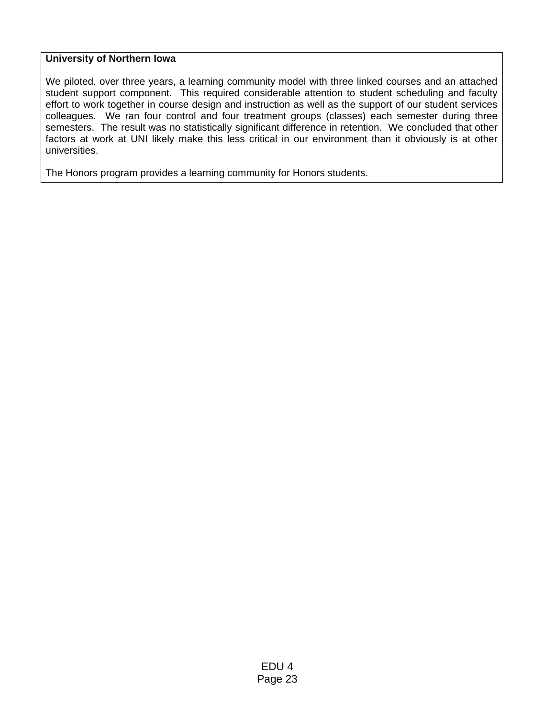### **University of Northern Iowa**

We piloted, over three years, a learning community model with three linked courses and an attached student support component. This required considerable attention to student scheduling and faculty effort to work together in course design and instruction as well as the support of our student services colleagues. We ran four control and four treatment groups (classes) each semester during three semesters. The result was no statistically significant difference in retention. We concluded that other factors at work at UNI likely make this less critical in our environment than it obviously is at other universities.

The Honors program provides a learning community for Honors students.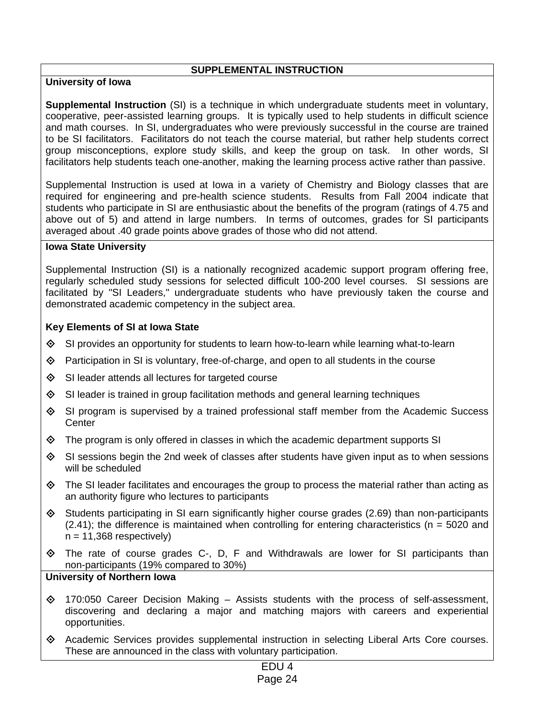### **SUPPLEMENTAL INSTRUCTION**

## **University of Iowa**

**Supplemental Instruction** (SI) is a technique in which undergraduate students meet in voluntary, cooperative, peer-assisted learning groups. It is typically used to help students in difficult science and math courses. In SI, undergraduates who were previously successful in the course are trained to be SI facilitators. Facilitators do not teach the course material, but rather help students correct group misconceptions, explore study skills, and keep the group on task. In other words, SI facilitators help students teach one-another, making the learning process active rather than passive.

Supplemental Instruction is used at Iowa in a variety of Chemistry and Biology classes that are required for engineering and pre-health science students. Results from Fall 2004 indicate that students who participate in SI are enthusiastic about the benefits of the program (ratings of 4.75 and above out of 5) and attend in large numbers. In terms of outcomes, grades for SI participants averaged about .40 grade points above grades of those who did not attend.

### **Iowa State University**

Supplemental Instruction (SI) is a nationally recognized academic support program offering free, regularly scheduled study sessions for selected difficult 100-200 level courses. SI sessions are facilitated by "SI Leaders," undergraduate students who have previously taken the course and demonstrated academic competency in the subject area.

### **Key Elements of SI at Iowa State**

- $\diamondsuit$  SI provides an opportunity for students to learn how-to-learn while learning what-to-learn
- $\Diamond$  Participation in SI is voluntary, free-of-charge, and open to all students in the course
- $\diamond$  SI leader attends all lectures for targeted course
- $\Diamond$  SI leader is trained in group facilitation methods and general learning techniques
- $\Diamond$  SI program is supervised by a trained professional staff member from the Academic Success **Center**
- $\Diamond$  The program is only offered in classes in which the academic department supports SI
- $\Diamond$  SI sessions begin the 2nd week of classes after students have given input as to when sessions will be scheduled
- The SI leader facilitates and encourages the group to process the material rather than acting as an authority figure who lectures to participants
- $\diamond$  Students participating in SI earn significantly higher course grades (2.69) than non-participants  $(2.41)$ ; the difference is maintained when controlling for entering characteristics ( $n = 5020$  and  $n = 11,368$  respectively)
- The rate of course grades C-, D, F and Withdrawals are lower for SI participants than non-participants (19% compared to 30%)

- $\diamond$  170:050 Career Decision Making Assists students with the process of self-assessment, discovering and declaring a major and matching majors with careers and experiential opportunities.
- Academic Services provides supplemental instruction in selecting Liberal Arts Core courses. These are announced in the class with voluntary participation.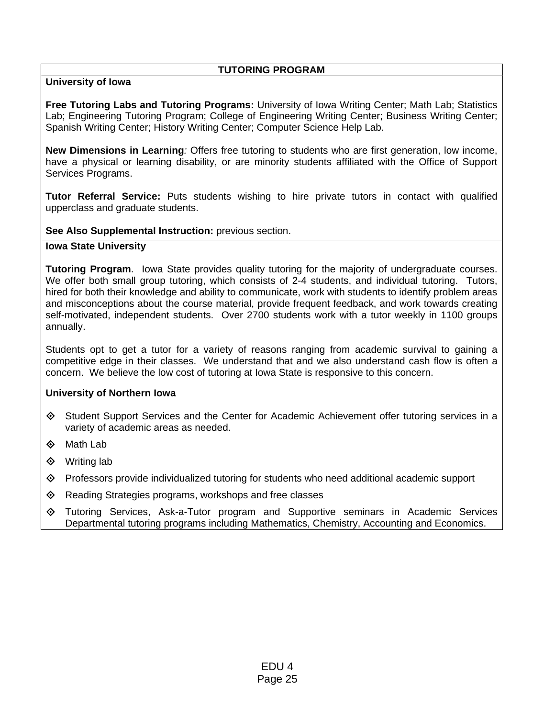## **TUTORING PROGRAM**

## **University of Iowa**

**Free Tutoring Labs and Tutoring Programs:** University of Iowa Writing Center; Math Lab; Statistics Lab; Engineering Tutoring Program; College of Engineering Writing Center; Business Writing Center; Spanish Writing Center; History Writing Center; Computer Science Help Lab.

**New Dimensions in Learning***:* Offers free tutoring to students who are first generation, low income, have a physical or learning disability, or are minority students affiliated with the Office of Support Services Programs.

**Tutor Referral Service:** Puts students wishing to hire private tutors in contact with qualified upperclass and graduate students.

**See Also Supplemental Instruction:** previous section.

### **Iowa State University**

**Tutoring Program**. Iowa State provides quality tutoring for the majority of undergraduate courses. We offer both small group tutoring, which consists of 2-4 students, and individual tutoring. Tutors, hired for both their knowledge and ability to communicate, work with students to identify problem areas and misconceptions about the course material, provide frequent feedback, and work towards creating self-motivated, independent students. Over 2700 students work with a tutor weekly in 1100 groups annually.

Students opt to get a tutor for a variety of reasons ranging from academic survival to gaining a competitive edge in their classes. We understand that and we also understand cash flow is often a concern. We believe the low cost of tutoring at Iowa State is responsive to this concern.

- Student Support Services and the Center for Academic Achievement offer tutoring services in a variety of academic areas as needed.
- **♦ Math Lab**
- **♦** Writing lab
- Professors provide individualized tutoring for students who need additional academic support
- $\Diamond$  Reading Strategies programs, workshops and free classes
- Tutoring Services, Ask-a-Tutor program and Supportive seminars in Academic Services Departmental tutoring programs including Mathematics, Chemistry, Accounting and Economics.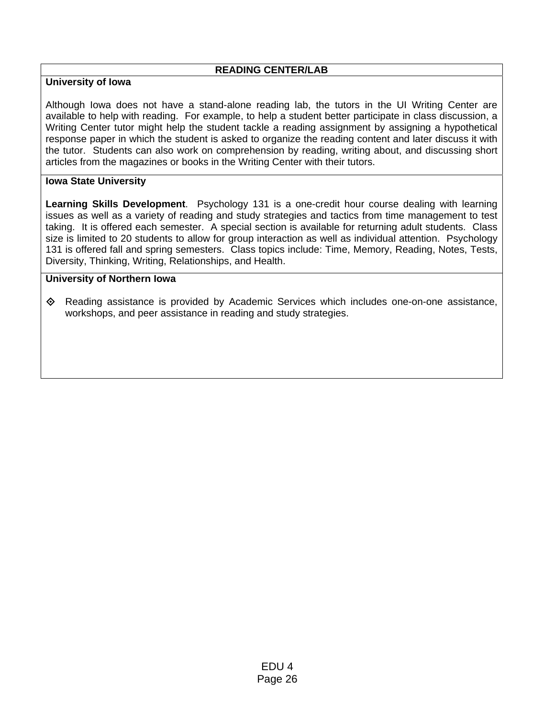## **READING CENTER/LAB**

## **University of Iowa**

Although Iowa does not have a stand-alone reading lab, the tutors in the UI Writing Center are available to help with reading. For example, to help a student better participate in class discussion, a Writing Center tutor might help the student tackle a reading assignment by assigning a hypothetical response paper in which the student is asked to organize the reading content and later discuss it with the tutor. Students can also work on comprehension by reading, writing about, and discussing short articles from the magazines or books in the Writing Center with their tutors.

## **Iowa State University**

**Learning Skills Development**. Psychology 131 is a one-credit hour course dealing with learning issues as well as a variety of reading and study strategies and tactics from time management to test taking. It is offered each semester. A special section is available for returning adult students. Class size is limited to 20 students to allow for group interaction as well as individual attention. Psychology 131 is offered fall and spring semesters. Class topics include: Time, Memory, Reading, Notes, Tests, Diversity, Thinking, Writing, Relationships, and Health.

### **University of Northern Iowa**

 Reading assistance is provided by Academic Services which includes one-on-one assistance, workshops, and peer assistance in reading and study strategies.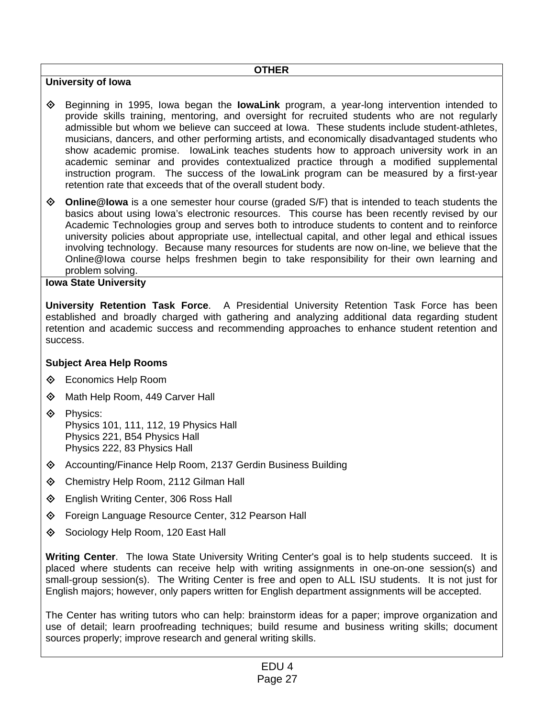### **OTHER**

## **University of Iowa**

- Beginning in 1995, Iowa began the **IowaLink** program, a year-long intervention intended to provide skills training, mentoring, and oversight for recruited students who are not regularly admissible but whom we believe can succeed at Iowa. These students include student-athletes, musicians, dancers, and other performing artists, and economically disadvantaged students who show academic promise. IowaLink teaches students how to approach university work in an academic seminar and provides contextualized practice through a modified supplemental instruction program. The success of the IowaLink program can be measured by a first-year retention rate that exceeds that of the overall student body.
- **Online@Iowa** is a one semester hour course (graded S/F) that is intended to teach students the basics about using Iowa's electronic resources. This course has been recently revised by our Academic Technologies group and serves both to introduce students to content and to reinforce university policies about appropriate use, intellectual capital, and other legal and ethical issues involving technology. Because many resources for students are now on-line, we believe that the Online@Iowa course helps freshmen begin to take responsibility for their own learning and problem solving.

## **Iowa State University**

**University Retention Task Force**. A Presidential University Retention Task Force has been established and broadly charged with gathering and analyzing additional data regarding student retention and academic success and recommending approaches to enhance student retention and success.

## **Subject Area Help Rooms**

- **♦** Economics Help Room
- ◆ Math Help Room, 449 Carver Hall
- **♦** Physics: Physics 101, 111, 112, 19 Physics Hall Physics 221, B54 Physics Hall Physics 222, 83 Physics Hall
- Accounting/Finance Help Room, 2137 Gerdin Business Building
- Chemistry Help Room, 2112 Gilman Hall
- **♦ English Writing Center, 306 Ross Hall**
- ◆ Foreign Language Resource Center, 312 Pearson Hall
- ♦ Sociology Help Room, 120 East Hall

**Writing Center**. The Iowa State University Writing Center's goal is to help students succeed. It is placed where students can receive help with writing assignments in one-on-one session(s) and small-group session(s). The Writing Center is free and open to ALL ISU students. It is not just for English majors; however, only papers written for English department assignments will be accepted.

The Center has writing tutors who can help: brainstorm ideas for a paper; improve organization and use of detail; learn proofreading techniques; build resume and business writing skills; document sources properly; improve research and general writing skills.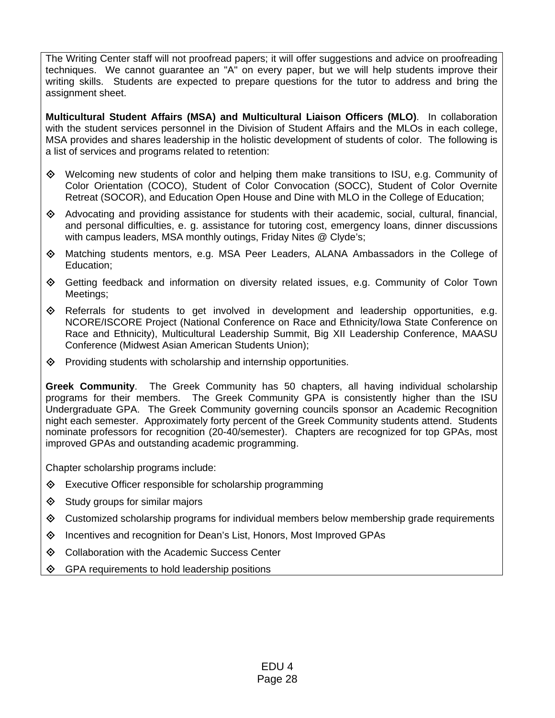The Writing Center staff will not proofread papers; it will offer suggestions and advice on proofreading techniques. We cannot guarantee an "A" on every paper, but we will help students improve their writing skills. Students are expected to prepare questions for the tutor to address and bring the assignment sheet.

**Multicultural Student Affairs (MSA) and Multicultural Liaison Officers (MLO)**. In collaboration with the student services personnel in the Division of Student Affairs and the MLOs in each college, MSA provides and shares leadership in the holistic development of students of color. The following is a list of services and programs related to retention:

- Welcoming new students of color and helping them make transitions to ISU, e.g. Community of Color Orientation (COCO), Student of Color Convocation (SOCC), Student of Color Overnite Retreat (SOCOR), and Education Open House and Dine with MLO in the College of Education;
- Advocating and providing assistance for students with their academic, social, cultural, financial, and personal difficulties, e. g. assistance for tutoring cost, emergency loans, dinner discussions with campus leaders, MSA monthly outings, Friday Nites @ Clyde's;
- Matching students mentors, e.g. MSA Peer Leaders, ALANA Ambassadors in the College of Education;
- Getting feedback and information on diversity related issues, e.g. Community of Color Town Meetings;
- $\Diamond$  Referrals for students to get involved in development and leadership opportunities, e.g. NCORE/ISCORE Project (National Conference on Race and Ethnicity/Iowa State Conference on Race and Ethnicity), Multicultural Leadership Summit, Big XII Leadership Conference, MAASU Conference (Midwest Asian American Students Union);
- $\diamond$  Providing students with scholarship and internship opportunities.

**Greek Community**. The Greek Community has 50 chapters, all having individual scholarship programs for their members. The Greek Community GPA is consistently higher than the ISU Undergraduate GPA. The Greek Community governing councils sponsor an Academic Recognition night each semester. Approximately forty percent of the Greek Community students attend. Students nominate professors for recognition (20-40/semester). Chapters are recognized for top GPAs, most improved GPAs and outstanding academic programming.

Chapter scholarship programs include:

- Executive Officer responsible for scholarship programming
- $\diamond$  Study groups for similar majors
- ◆ Customized scholarship programs for individual members below membership grade requirements
- $\diamond$  Incentives and recognition for Dean's List, Honors, Most Improved GPAs
- **♦ Collaboration with the Academic Success Center**
- $\Diamond$  GPA requirements to hold leadership positions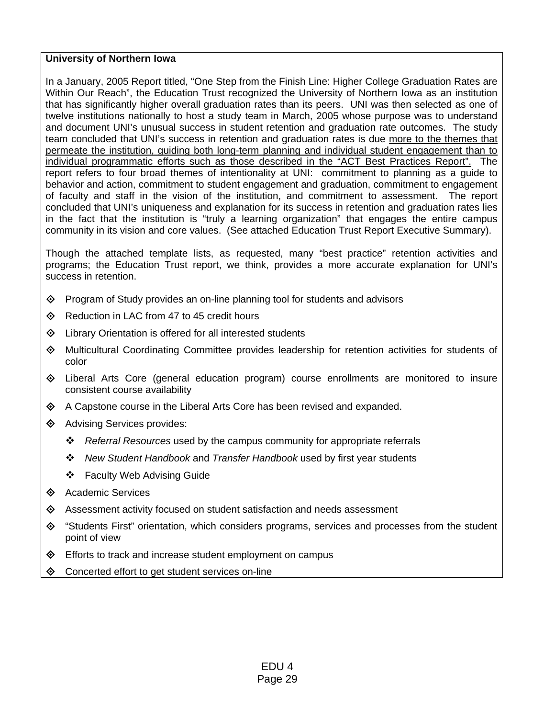### **University of Northern Iowa**

In a January, 2005 Report titled, "One Step from the Finish Line: Higher College Graduation Rates are Within Our Reach", the Education Trust recognized the University of Northern Iowa as an institution that has significantly higher overall graduation rates than its peers. UNI was then selected as one of twelve institutions nationally to host a study team in March, 2005 whose purpose was to understand and document UNI's unusual success in student retention and graduation rate outcomes. The study team concluded that UNI's success in retention and graduation rates is due more to the themes that permeate the institution, guiding both long-term planning and individual student engagement than to individual programmatic efforts such as those described in the "ACT Best Practices Report". The report refers to four broad themes of intentionality at UNI: commitment to planning as a guide to behavior and action, commitment to student engagement and graduation, commitment to engagement of faculty and staff in the vision of the institution, and commitment to assessment. The report concluded that UNI's uniqueness and explanation for its success in retention and graduation rates lies in the fact that the institution is "truly a learning organization" that engages the entire campus community in its vision and core values. (See attached Education Trust Report Executive Summary).

Though the attached template lists, as requested, many "best practice" retention activities and programs; the Education Trust report, we think, provides a more accurate explanation for UNI's success in retention.

- $\diamond$  Program of Study provides an on-line planning tool for students and advisors
- ♦ Reduction in LAC from 47 to 45 credit hours
- Library Orientation is offered for all interested students
- Multicultural Coordinating Committee provides leadership for retention activities for students of color
- Liberal Arts Core (general education program) course enrollments are monitored to insure consistent course availability
- $\Diamond$  A Capstone course in the Liberal Arts Core has been revised and expanded.
- **♦ Advising Services provides:** 
	- *Referral Resources* used by the campus community for appropriate referrals
	- *New Student Handbook* and *Transfer Handbook* used by first year students
	- ❖ Faculty Web Advising Guide
- **♦ Academic Services**
- $\diamond$  Assessment activity focused on student satisfaction and needs assessment
- "Students First" orientation, which considers programs, services and processes from the student point of view
- Efforts to track and increase student employment on campus
- Concerted effort to get student services on-line